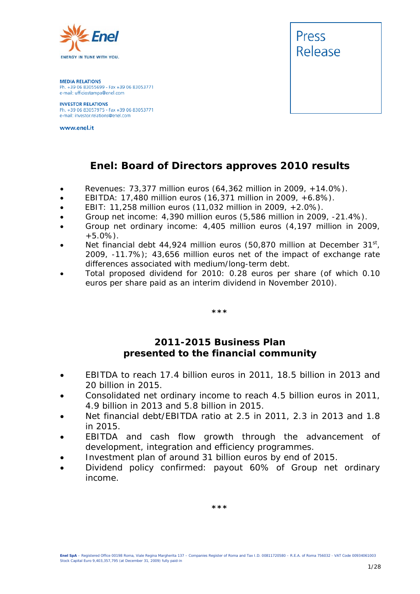

**MEDIA RELATIONS** Ph. +39 06 83055699 - Fax +39 06 83053771 e-mail: ufficiostampa@enel.com

**INVESTOR RELATIONS**<br>Ph. +39 06 83057975 - Fax +39 06 83053771 e-mail: investor.relations@enel.com

www.enel.it



# **Enel: Board of Directors approves 2010 results**

- *Revenues: 73,377 million euros (64,362 million in 2009, +14.0%).*
- *EBITDA: 17,480 million euros (16,371 million in 2009, +6.8%).*
- *EBIT: 11,258 million euros (11,032 million in 2009, +2.0%).*
- *Group net income: 4,390 million euros (5,586 million in 2009, -21.4%).*
- *Group net ordinary income: 4,405 million euros (4,197 million in 2009, +5.0%).*
- *Net financial debt 44,924 million euros (50,870 million at December 31st, 2009, -11.7%); 43,656 million euros net of the impact of exchange rate differences associated with medium/long-term debt.*
- *Total proposed dividend for 2010: 0.28 euros per share (of which 0.10 euros per share paid as an interim dividend in November 2010).*

*\*\*\**

### **2011-2015 Business Plan presented to the financial community**

- *EBITDA to reach 17.4 billion euros in 2011, 18.5 billion in 2013 and 20 billion in 2015.*
- *Consolidated net ordinary income to reach 4.5 billion euros in 2011, 4.9 billion in 2013 and 5.8 billion in 2015.*
- *Net financial debt/EBITDA ratio at 2.5 in 2011, 2.3 in 2013 and 1.8 in 2015.*
- *EBITDA and cash flow growth through the advancement of development, integration and efficiency programmes.*
- *Investment plan of around 31 billion euros by end of 2015.*
- *Dividend policy confirmed: payout 60% of Group net ordinary income.*

*\*\*\**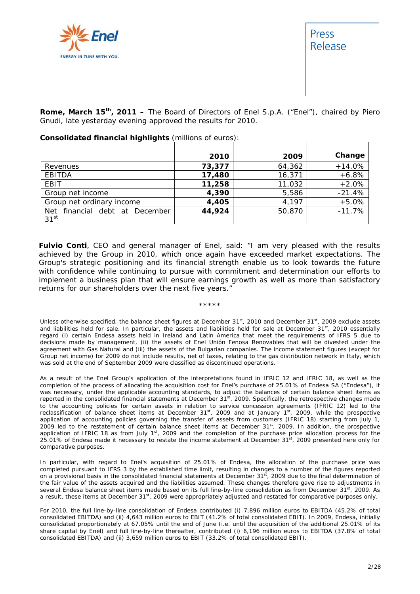



**Rome, March 15th, 2011 –** The Board of Directors of Enel S.p.A. ("Enel"), chaired by Piero Gnudi, late yesterday evening approved the results for 2010.

|                                   | 2010   | 2009   | Change   |
|-----------------------------------|--------|--------|----------|
| Revenues                          | 73,377 | 64,362 | $+14.0%$ |
| <b>EBITDA</b>                     | 17,480 | 16,371 | $+6.8%$  |
| EBIT                              | 11,258 | 11,032 | $+2.0%$  |
| Group net income                  | 4,390  | 5,586  | $-21.4%$ |
| Group net ordinary income         | 4,405  | 4,197  | $+5.0%$  |
| financial debt at December<br>Net | 44,924 | 50,870 | $-11.7%$ |
| 31 <sup>st</sup>                  |        |        |          |

#### **Consolidated financial highlights** (millions of euros):

**Fulvio Conti**, CEO and general manager of Enel, said: "*I am very pleased with the results achieved by the Group in 2010, which once again have exceeded market expectations. The Group's strategic positioning and its financial strength enable us to look towards the future with confidence while continuing to pursue with commitment and determination our efforts to implement a business plan that will ensure earnings growth as well as more than satisfactory returns for our shareholders over the next five years*."

#### \*\*\*\*\*

Unless otherwise specified, the balance sheet figures at December 31<sup>st</sup>, 2010 and December 31<sup>st</sup>, 2009 exclude assets and liabilities held for sale. In particular, the assets and liabilities held for sale at December 31<sup>st</sup>, 2010 essentially regard (i) certain Endesa assets held in Ireland and Latin America that meet the requirements of IFRS 5 due to decisions made by management, (ii) the assets of Enel Unión Fenosa Renovables that will be divested under the agreement with Gas Natural and (iii) the assets of the Bulgarian companies. The income statement figures (except for Group net income) for 2009 do not include results, net of taxes, relating to the gas distribution network in Italy, which was sold at the end of September 2009 were classified as discontinued operations*.*

As a result of the Enel Group's application of the interpretations found in IFRIC 12 and IFRIC 18, as well as the completion of the process of allocating the acquisition cost for Enel's purchase of 25.01% of Endesa SA ("Endesa"), it was necessary, under the applicable accounting standards, to adjust the balances of certain balance sheet items as reported in the consolidated financial statements at December 31<sup>st</sup>, 2009. Specifically, the retrospective changes made to the accounting policies for certain assets in relation to service concession agreements (IFRIC 12) led to the reclassification of balance sheet items at December 31st, 2009 and at January 1st, 2009, while the prospective application of accounting policies governing the transfer of assets from customers (IFRIC 18) starting from July 1, 2009 led to the restatement of certain balance sheet items at December 31<sup>st</sup>, 2009. In addition, the prospective application of IFRIC 18 as from July  $1<sup>st</sup>$ , 2009 and the completion of the purchase price allocation process for the 25.01% of Endesa made it necessary to restate the income statement at December 31st, 2009 presented here only for comparative purposes.

In particular, with regard to Enel's acquisition of 25.01% of Endesa, the allocation of the purchase price was completed pursuant to IFRS 3 by the established time limit, resulting in changes to a number of the figures reported on a provisional basis in the consolidated financial statements at December 31st, 2009 due to the final determination of the fair value of the assets acquired and the liabilities assumed. These changes therefore gave rise to adjustments in several Endesa balance sheet items made based on its full line-by-line consolidation as from December 31st, 2009. As a result, these items at December 31<sup>st</sup>, 2009 were appropriately adjusted and restated for comparative purposes only.

For 2010, the full line-by-line consolidation of Endesa contributed (i) 7,896 million euros to EBITDA (45.2% of total consolidated EBITDA) and (ii) 4,643 million euros to EBIT (41.2% of total consolidated EBIT). In 2009, Endesa, initially consolidated proportionately at 67.05% until the end of June (i.e. until the acquisition of the additional 25.01% of its share capital by Enel) and full line-by-line thereafter, contributed (i) 6,196 million euros to EBITDA (37.8% of total consolidated EBITDA) and (ii) 3,659 million euros to EBIT (33.2% of total consolidated EBIT).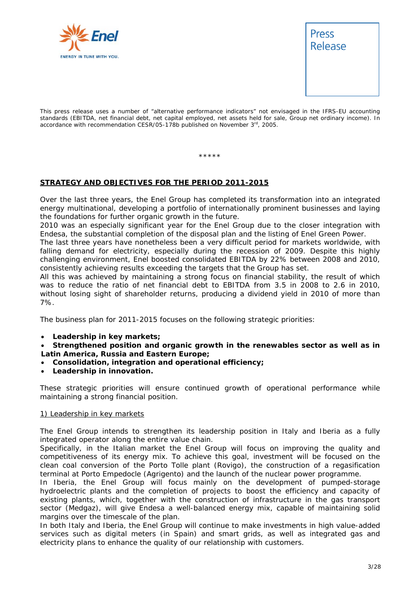



This press release uses a number of "alternative performance indicators" not envisaged in the IFRS-EU accounting standards (EBITDA, net financial debt, net capital employed, net assets held for sale, Group net ordinary income). In accordance with recommendation CESR/05-178b published on November 3<sup>rd</sup>, 2005.

\*\*\*\*\*

### **STRATEGY AND OBJECTIVES FOR THE PERIOD 2011-2015**

Over the last three years, the Enel Group has completed its transformation into an integrated energy multinational, developing a portfolio of internationally prominent businesses and laying the foundations for further organic growth in the future.

2010 was an especially significant year for the Enel Group due to the closer integration with Endesa, the substantial completion of the disposal plan and the listing of Enel Green Power.

The last three years have nonetheless been a very difficult period for markets worldwide, with falling demand for electricity, especially during the recession of 2009. Despite this highly challenging environment, Enel boosted consolidated EBITDA by 22% between 2008 and 2010, consistently achieving results exceeding the targets that the Group has set.

All this was achieved by maintaining a strong focus on financial stability, the result of which was to reduce the ratio of net financial debt to EBITDA from 3.5 in 2008 to 2.6 in 2010, without losing sight of shareholder returns, producing a dividend yield in 2010 of more than 7%.

The business plan for 2011-2015 focuses on the following strategic priorities:

- **Leadership in key markets;**
- **Strengthened position and organic growth in the renewables sector as well as in Latin America, Russia and Eastern Europe;**
- **Consolidation, integration and operational efficiency;**
- **Leadership in innovation.**

These strategic priorities will ensure continued growth of operational performance while maintaining a strong financial position.

#### 1) Leadership in key markets

The Enel Group intends to strengthen its leadership position in Italy and Iberia as a fully integrated operator along the entire value chain.

Specifically, in the Italian market the Enel Group will focus on improving the quality and competitiveness of its energy mix. To achieve this goal, investment will be focused on the clean coal conversion of the Porto Tolle plant (Rovigo), the construction of a regasification terminal at Porto Empedocle (Agrigento) and the launch of the nuclear power programme.

In Iberia, the Enel Group will focus mainly on the development of pumped-storage hydroelectric plants and the completion of projects to boost the efficiency and capacity of existing plants, which, together with the construction of infrastructure in the gas transport sector (Medgaz), will give Endesa a well-balanced energy mix, capable of maintaining solid margins over the timescale of the plan.

In both Italy and Iberia, the Enel Group will continue to make investments in high value-added services such as digital meters (in Spain) and smart grids, as well as integrated gas and electricity plans to enhance the quality of our relationship with customers.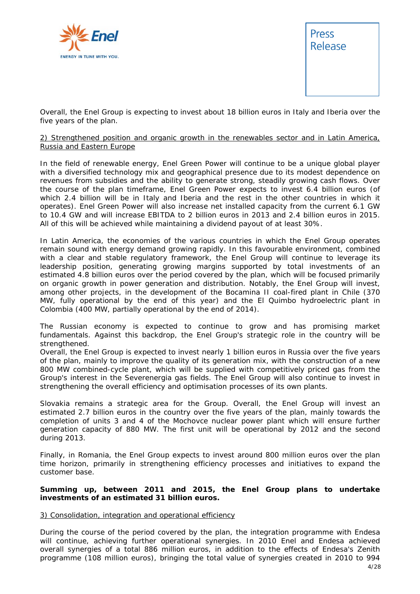



Overall, the Enel Group is expecting to invest about 18 billion euros in Italy and Iberia over the five years of the plan.

#### 2) Strengthened position and organic growth in the renewables sector and in Latin America, Russia and Eastern Europe

In the field of renewable energy, Enel Green Power will continue to be a unique global player with a diversified technology mix and geographical presence due to its modest dependence on revenues from subsidies and the ability to generate strong, steadily growing cash flows. Over the course of the plan timeframe, Enel Green Power expects to invest 6.4 billion euros (of which 2.4 billion will be in Italy and Iberia and the rest in the other countries in which it operates). Enel Green Power will also increase net installed capacity from the current 6.1 GW to 10.4 GW and will increase EBITDA to 2 billion euros in 2013 and 2.4 billion euros in 2015. All of this will be achieved while maintaining a dividend payout of at least 30%.

In Latin America, the economies of the various countries in which the Enel Group operates remain sound with energy demand growing rapidly. In this favourable environment, combined with a clear and stable regulatory framework, the Enel Group will continue to leverage its leadership position, generating growing margins supported by total investments of an estimated 4.8 billion euros over the period covered by the plan, which will be focused primarily on organic growth in power generation and distribution. Notably, the Enel Group will invest, among other projects, in the development of the Bocamina II coal-fired plant in Chile (370 MW, fully operational by the end of this year) and the El Quimbo hydroelectric plant in Colombia (400 MW, partially operational by the end of 2014).

The Russian economy is expected to continue to grow and has promising market fundamentals. Against this backdrop, the Enel Group's strategic role in the country will be strengthened.

Overall, the Enel Group is expected to invest nearly 1 billion euros in Russia over the five years of the plan, mainly to improve the quality of its generation mix, with the construction of a new 800 MW combined-cycle plant, which will be supplied with competitively priced gas from the Group's interest in the Severenergia gas fields. The Enel Group will also continue to invest in strengthening the overall efficiency and optimisation processes of its own plants.

Slovakia remains a strategic area for the Group. Overall, the Enel Group will invest an estimated 2.7 billion euros in the country over the five years of the plan, mainly towards the completion of units 3 and 4 of the Mochovce nuclear power plant which will ensure further generation capacity of 880 MW. The first unit will be operational by 2012 and the second during 2013.

Finally, in Romania, the Enel Group expects to invest around 800 million euros over the plan time horizon, primarily in strengthening efficiency processes and initiatives to expand the customer base.

#### **Summing up, between 2011 and 2015, the Enel Group plans to undertake investments of an estimated 31 billion euros.**

#### 3) Consolidation, integration and operational efficiency

 4/28 During the course of the period covered by the plan, the integration programme with Endesa will continue, achieving further operational synergies. In 2010 Enel and Endesa achieved overall synergies of a total 886 million euros, in addition to the effects of Endesa's Zenith programme (108 million euros), bringing the total value of synergies created in 2010 to 994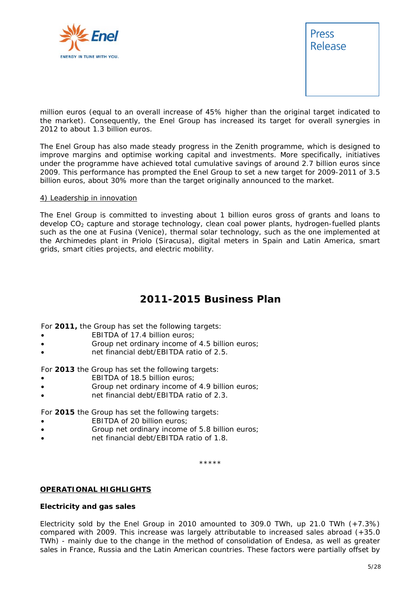



million euros (equal to an overall increase of 45% higher than the original target indicated to the market). Consequently, the Enel Group has increased its target for overall synergies in 2012 to about 1.3 billion euros.

The Enel Group has also made steady progress in the Zenith programme, which is designed to improve margins and optimise working capital and investments. More specifically, initiatives under the programme have achieved total cumulative savings of around 2.7 billion euros since 2009. This performance has prompted the Enel Group to set a new target for 2009-2011 of 3.5 billion euros, about 30% more than the target originally announced to the market.

#### 4) Leadership in innovation

The Enel Group is committed to investing about 1 billion euros gross of grants and loans to develop CO<sub>2</sub> capture and storage technology, clean coal power plants, hydrogen-fuelled plants such as the one at Fusina (Venice), thermal solar technology, such as the one implemented at the Archimedes plant in Priolo (Siracusa), digital meters in Spain and Latin America, smart grids, smart cities projects, and electric mobility.

# **2011-2015 Business Plan**

For **2011,** the Group has set the following targets:

- EBITDA of 17.4 billion euros:
- Group net ordinary income of 4.5 billion euros;
- net financial debt/EBITDA ratio of 2.5.

For **2013** the Group has set the following targets:

- EBITDA of 18.5 billion euros:
- Group net ordinary income of 4.9 billion euros;
- net financial debt/EBITDA ratio of 2.3.

For **2015** the Group has set the following targets:

- **EBITDA** of 20 billion euros;
- Group net ordinary income of 5.8 billion euros;
- net financial debt/EBITDA ratio of 1.8.

\*\*\*\*\*

#### **OPERATIONAL HIGHLIGHTS**

#### **Electricity and gas sales**

Electricity sold by the Enel Group in 2010 amounted to 309.0 TWh, up 21.0 TWh (+7.3%) compared with 2009. This increase was largely attributable to increased sales abroad (+35.0 TWh) - mainly due to the change in the method of consolidation of Endesa, as well as greater sales in France, Russia and the Latin American countries. These factors were partially offset by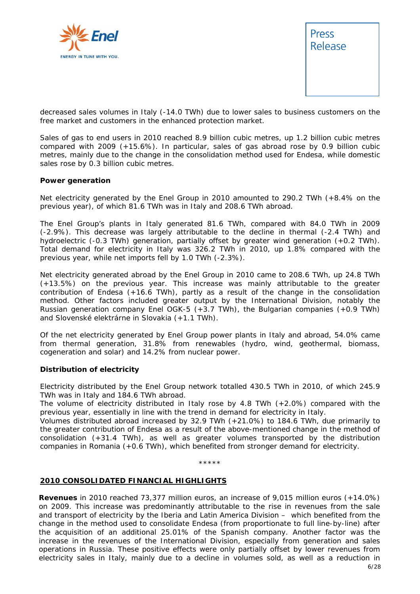



decreased sales volumes in Italy (-14.0 TWh) due to lower sales to business customers on the free market and customers in the enhanced protection market.

Sales of gas to end users in 2010 reached 8.9 billion cubic metres, up 1.2 billion cubic metres compared with 2009 (+15.6%). In particular, sales of gas abroad rose by 0.9 billion cubic metres, mainly due to the change in the consolidation method used for Endesa, while domestic sales rose by 0.3 billion cubic metres.

#### **Power generation**

Net electricity generated by the Enel Group in 2010 amounted to 290.2 TWh (+8.4% on the previous year), of which 81.6 TWh was in Italy and 208.6 TWh abroad.

The Enel Group's plants in Italy generated 81.6 TWh, compared with 84.0 TWh in 2009 (-2.9%). This decrease was largely attributable to the decline in thermal (-2.4 TWh) and hydroelectric (-0.3 TWh) generation, partially offset by greater wind generation (+0.2 TWh). Total demand for electricity in Italy was 326.2 TWh in 2010, up 1.8% compared with the previous year, while net imports fell by 1.0 TWh (-2.3%).

Net electricity generated abroad by the Enel Group in 2010 came to 208.6 TWh, up 24.8 TWh (+13.5%) on the previous year. This increase was mainly attributable to the greater contribution of Endesa (+16.6 TWh), partly as a result of the change in the consolidation method. Other factors included greater output by the International Division, notably the Russian generation company Enel OGK-5 (+3.7 TWh), the Bulgarian companies (+0.9 TWh) and Slovenské elektrárne in Slovakia (+1.1 TWh).

Of the net electricity generated by Enel Group power plants in Italy and abroad, 54.0% came from thermal generation, 31.8% from renewables (hydro, wind, geothermal, biomass, cogeneration and solar) and 14.2% from nuclear power.

#### **Distribution of electricity**

Electricity distributed by the Enel Group network totalled 430.5 TWh in 2010, of which 245.9 TWh was in Italy and 184.6 TWh abroad.

The volume of electricity distributed in Italy rose by 4.8 TWh  $(+2.0%)$  compared with the previous year, essentially in line with the trend in demand for electricity in Italy.

Volumes distributed abroad increased by 32.9 TWh (+21.0%) to 184.6 TWh, due primarily to the greater contribution of Endesa as a result of the above-mentioned change in the method of consolidation (+31.4 TWh), as well as greater volumes transported by the distribution companies in Romania (+0.6 TWh), which benefited from stronger demand for electricity.

\*\*\*\*\*

#### **2010 CONSOLIDATED FINANCIAL HIGHLIGHTS**

 $\sim$  6/28 **Revenues** in 2010 reached 73,377 million euros, an increase of 9,015 million euros (+14.0%) on 2009. This increase was predominantly attributable to the rise in revenues from the sale and transport of electricity by the Iberia and Latin America Division – which benefited from the change in the method used to consolidate Endesa (from proportionate to full line-by-line) after the acquisition of an additional 25.01% of the Spanish company. Another factor was the increase in the revenues of the International Division, especially from generation and sales operations in Russia. These positive effects were only partially offset by lower revenues from electricity sales in Italy, mainly due to a decline in volumes sold, as well as a reduction in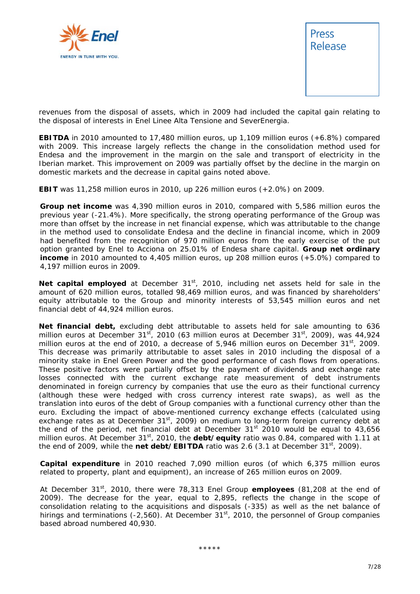



revenues from the disposal of assets, which in 2009 had included the capital gain relating to the disposal of interests in Enel Linee Alta Tensione and SeverEnergia.

**EBITDA** in 2010 amounted to 17,480 million euros, up 1,109 million euros (+6.8%) compared with 2009. This increase largely reflects the change in the consolidation method used for Endesa and the improvement in the margin on the sale and transport of electricity in the Iberian market. This improvement on 2009 was partially offset by the decline in the margin on domestic markets and the decrease in capital gains noted above.

**EBIT** was 11,258 million euros in 2010, up 226 million euros (+2.0%) on 2009.

**Group net income** was 4,390 million euros in 2010, compared with 5,586 million euros the previous year (-21.4%). More specifically, the strong operating performance of the Group was more than offset by the increase in net financial expense, which was attributable to the change in the method used to consolidate Endesa and the decline in financial income, which in 2009 had benefited from the recognition of 970 million euros from the early exercise of the put option granted by Enel to Acciona on 25.01% of Endesa share capital. **Group net ordinary income** in 2010 amounted to 4,405 million euros, up 208 million euros (+5.0%) compared to 4,197 million euros in 2009.

Net capital employed at December 31<sup>st</sup>, 2010, including net assets held for sale in the amount of 620 million euros, totalled 98,469 million euros, and was financed by shareholders' equity attributable to the Group and minority interests of 53,545 million euros and net financial debt of 44,924 million euros.

**Net financial debt,** excluding debt attributable to assets held for sale amounting to 636 million euros at December  $31^{st}$ , 2010 (63 million euros at December  $31^{st}$ , 2009), was 44,924 million euros at the end of 2010, a decrease of 5,946 million euros on December 31<sup>st</sup>, 2009. This decrease was primarily attributable to asset sales in 2010 including the disposal of a minority stake in Enel Green Power and the good performance of cash flows from operations. These positive factors were partially offset by the payment of dividends and exchange rate losses connected with the current exchange rate measurement of debt instruments denominated in foreign currency by companies that use the euro as their functional currency (although these were hedged with cross currency interest rate swaps), as well as the translation into euros of the debt of Group companies with a functional currency other than the euro. Excluding the impact of above-mentioned currency exchange effects (calculated using exchange rates as at December  $31<sup>st</sup>$ , 2009) on medium to long-term foreign currency debt at the end of the period, net financial debt at December  $31<sup>st</sup>$  2010 would be equal to 43,656 million euros. At December 31<sup>st</sup>, 2010, the **debt/equity** ratio was 0.84, compared with 1.11 at the end of 2009, while the net debt/EBITDA ratio was 2.6 (3.1 at December 31<sup>st</sup>, 2009).

**Capital expenditure** in 2010 reached 7,090 million euros (of which 6,375 million euros related to property, plant and equipment), an increase of 265 million euros on 2009.

At December 31st, 2010, there were 78,313 Enel Group **employees** (81,208 at the end of 2009). The decrease for the year, equal to 2,895, reflects the change in the scope of consolidation relating to the acquisitions and disposals (-335) as well as the net balance of hirings and terminations (-2,560). At December  $31<sup>st</sup>$ , 2010, the personnel of Group companies based abroad numbered 40,930.

\*\*\*\*\*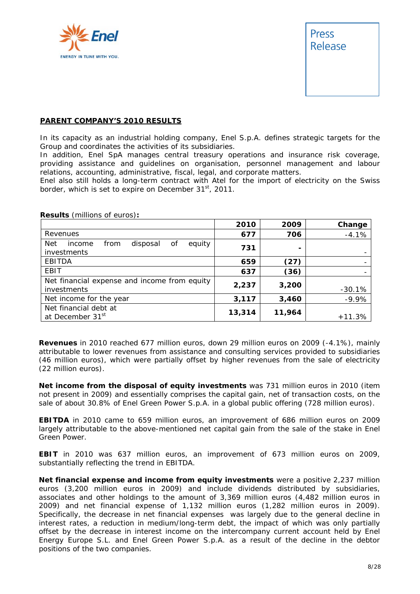



#### **PARENT COMPANY'S 2010 RESULTS**

In its capacity as an industrial holding company, Enel S.p.A. defines strategic targets for the Group and coordinates the activities of its subsidiaries.

In addition, Enel SpA manages central treasury operations and insurance risk coverage, providing assistance and guidelines on organisation, personnel management and labour relations, accounting, administrative, fiscal, legal, and corporate matters.

Enel also still holds a long-term contract with Atel for the import of electricity on the Swiss border, which is set to expire on December 31<sup>st</sup>, 2011.

|                                                                         | 2010   | 2009                     | Change    |
|-------------------------------------------------------------------------|--------|--------------------------|-----------|
| Revenues                                                                | 677    | 706                      | $-4.1%$   |
| <b>Net</b><br>disposal<br>from<br>Οf<br>equity<br>income<br>investments | 731    | $\overline{\phantom{a}}$ |           |
| <b>EBITDA</b>                                                           | 659    | (27)                     |           |
| EBIT                                                                    | 637    | (36)                     |           |
| Net financial expense and income from equity<br>investments             | 2,237  | 3,200                    | $-30.1\%$ |
| Net income for the year                                                 | 3,117  | 3,460                    | $-9.9%$   |
| Net financial debt at<br>at December 31st                               | 13,314 | 11,964                   | $+11.3%$  |

**Results** (millions of euros)**:** 

**Revenues** in 2010 reached 677 million euros, down 29 million euros on 2009 (-4.1%), mainly attributable to lower revenues from assistance and consulting services provided to subsidiaries (46 million euros), which were partially offset by higher revenues from the sale of electricity (22 million euros).

**Net income from the disposal of equity investments** was 731 million euros in 2010 (item not present in 2009) and essentially comprises the capital gain, net of transaction costs, on the sale of about 30.8% of Enel Green Power S.p.A. in a global public offering (728 million euros).

**EBITDA** in 2010 came to 659 million euros, an improvement of 686 million euros on 2009 largely attributable to the above-mentioned net capital gain from the sale of the stake in Enel Green Power.

**EBIT** in 2010 was 637 million euros, an improvement of 673 million euros on 2009, substantially reflecting the trend in EBITDA.

**Net financial expense and income from equity investments** were a positive 2,237 million euros (3,200 million euros in 2009) and include dividends distributed by subsidiaries, associates and other holdings to the amount of 3,369 million euros (4,482 million euros in 2009) and net financial expense of 1,132 million euros (1,282 million euros in 2009). Specifically, the decrease in net financial expenses was largely due to the general decline in interest rates, a reduction in medium/long-term debt, the impact of which was only partially offset by the decrease in interest income on the intercompany current account held by Enel Energy Europe S.L. and Enel Green Power S.p.A. as a result of the decline in the debtor positions of the two companies.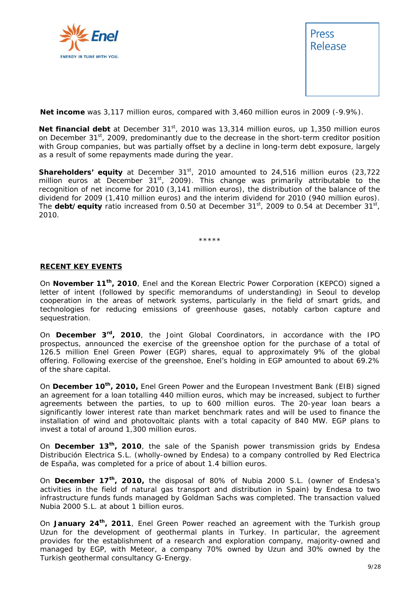



**Net income** was 3,117 million euros, compared with 3,460 million euros in 2009 (-9.9%).

Net financial debt at December 31<sup>st</sup>, 2010 was 13,314 million euros, up 1,350 million euros on December 31<sup>st</sup>, 2009, predominantly due to the decrease in the short-term creditor position with Group companies, but was partially offset by a decline in long-term debt exposure, largely as a result of some repayments made during the year.

**Shareholders' equity** at December 31<sup>st</sup>, 2010 amounted to 24,516 million euros (23,722 million euros at December  $31<sup>st</sup>$ , 2009). This change was primarily attributable to the recognition of net income for 2010 (3,141 million euros), the distribution of the balance of the dividend for 2009 (1,410 million euros) and the interim dividend for 2010 (940 million euros). The **debt/equity** ratio increased from 0.50 at December 31<sup>st</sup>, 2009 to 0.54 at December 31<sup>st</sup>, 2010.

\*\*\*\*\*

#### **RECENT KEY EVENTS**

On **November 11th, 2010**, Enel and the Korean Electric Power Corporation (KEPCO) signed a letter of intent (followed by specific memorandums of understanding) in Seoul to develop cooperation in the areas of network systems, particularly in the field of smart grids, and technologies for reducing emissions of greenhouse gases, notably carbon capture and sequestration.

On **December 3rd, 2010**, the Joint Global Coordinators, in accordance with the IPO prospectus, announced the exercise of the greenshoe option for the purchase of a total of 126.5 million Enel Green Power (EGP) shares, equal to approximately 9% of the global offering. Following exercise of the greenshoe, Enel's holding in EGP amounted to about 69.2% of the share capital.

On **December 10th, 2010,** Enel Green Power and the European Investment Bank (EIB) signed an agreement for a loan totalling 440 million euros, which may be increased, subject to further agreements between the parties, to up to 600 million euros. The 20-year loan bears a significantly lower interest rate than market benchmark rates and will be used to finance the installation of wind and photovoltaic plants with a total capacity of 840 MW. EGP plans to invest a total of around 1,300 million euros.

On **December 13th, 2010**, the sale of the Spanish power transmission grids by Endesa Distribución Electrica S.L. (wholly-owned by Endesa) to a company controlled by Red Electrica de España, was completed for a price of about 1.4 billion euros.

On **December 17th, 2010,** the disposal of 80% of Nubia 2000 S.L. (owner of Endesa's activities in the field of natural gas transport and distribution in Spain) by Endesa to two infrastructure funds funds managed by Goldman Sachs was completed. The transaction valued Nubia 2000 S.L. at about 1 billion euros.

On **January 24th, 2011**, Enel Green Power reached an agreement with the Turkish group Uzun for the development of geothermal plants in Turkey. In particular, the agreement provides for the establishment of a research and exploration company, majority-owned and managed by EGP, with Meteor, a company 70% owned by Uzun and 30% owned by the Turkish geothermal consultancy G-Energy.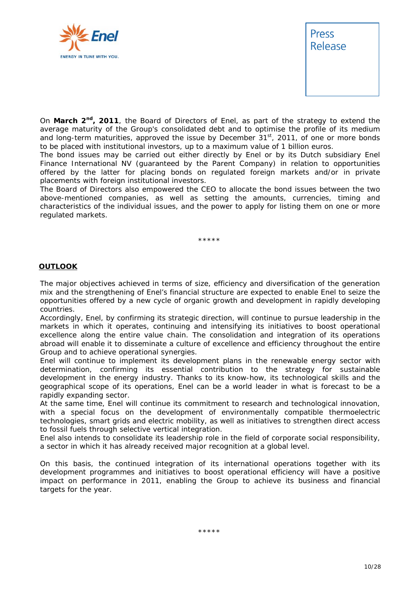



On **March 2nd, 2011**, the Board of Directors of Enel, as part of the strategy to extend the average maturity of the Group's consolidated debt and to optimise the profile of its medium and long-term maturities, approved the issue by December  $31<sup>st</sup>$ , 2011, of one or more bonds to be placed with institutional investors, up to a maximum value of 1 billion euros.

The bond issues may be carried out either directly by Enel or by its Dutch subsidiary Enel Finance International NV (guaranteed by the Parent Company) in relation to opportunities offered by the latter for placing bonds on regulated foreign markets and/or in private placements with foreign institutional investors.

The Board of Directors also empowered the CEO to allocate the bond issues between the two above-mentioned companies, as well as setting the amounts, currencies, timing and characteristics of the individual issues, and the power to apply for listing them on one or more regulated markets.

\*\*\*\*\*

#### **OUTLOOK**

The major objectives achieved in terms of size, efficiency and diversification of the generation mix and the strengthening of Enel's financial structure are expected to enable Enel to seize the opportunities offered by a new cycle of organic growth and development in rapidly developing countries.

Accordingly, Enel, by confirming its strategic direction, will continue to pursue leadership in the markets in which it operates, continuing and intensifying its initiatives to boost operational excellence along the entire value chain. The consolidation and integration of its operations abroad will enable it to disseminate a culture of excellence and efficiency throughout the entire Group and to achieve operational synergies.

Enel will continue to implement its development plans in the renewable energy sector with determination, confirming its essential contribution to the strategy for sustainable development in the energy industry. Thanks to its know-how, its technological skills and the geographical scope of its operations, Enel can be a world leader in what is forecast to be a rapidly expanding sector.

At the same time, Enel will continue its commitment to research and technological innovation, with a special focus on the development of environmentally compatible thermoelectric technologies, smart grids and electric mobility, as well as initiatives to strengthen direct access to fossil fuels through selective vertical integration.

Enel also intends to consolidate its leadership role in the field of corporate social responsibility, a sector in which it has already received major recognition at a global level.

On this basis, the continued integration of its international operations together with its development programmes and initiatives to boost operational efficiency will have a positive impact on performance in 2011, enabling the Group to achieve its business and financial targets for the year.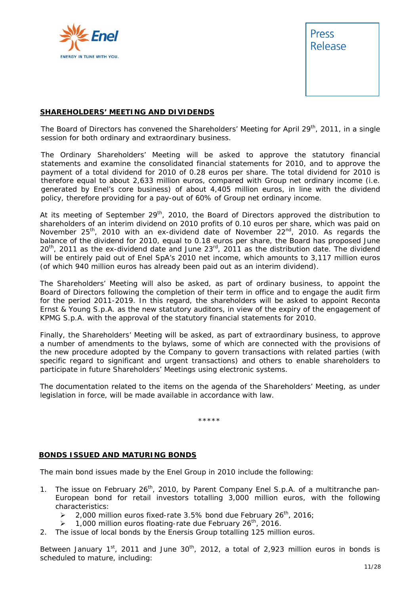



#### **SHAREHOLDERS' MEETING AND DIVIDENDS**

The Board of Directors has convened the Shareholders' Meeting for April 29<sup>th</sup>, 2011, in a single session for both ordinary and extraordinary business.

The Ordinary Shareholders' Meeting will be asked to approve the statutory financial statements and examine the consolidated financial statements for 2010, and to approve the payment of a total dividend for 2010 of 0.28 euros per share. The total dividend for 2010 is therefore equal to about 2,633 million euros, compared with Group net ordinary income (i.e. generated by Enel's core business) of about 4,405 million euros, in line with the dividend policy, therefore providing for a pay-out of 60% of Group net ordinary income.

At its meeting of September  $29<sup>th</sup>$ , 2010, the Board of Directors approved the distribution to shareholders of an interim dividend on 2010 profits of 0.10 euros per share, which was paid on November  $25<sup>th</sup>$ , 2010 with an ex-dividend date of November  $22<sup>nd</sup>$ , 2010. As regards the balance of the dividend for 2010, equal to 0.18 euros per share, the Board has proposed June 20<sup>th</sup>, 2011 as the ex-dividend date and June 23<sup>rd</sup>, 2011 as the distribution date. The dividend will be entirely paid out of Enel SpA's 2010 net income, which amounts to 3,117 million euros (of which 940 million euros has already been paid out as an interim dividend).

The Shareholders' Meeting will also be asked, as part of ordinary business, to appoint the Board of Directors following the completion of their term in office and to engage the audit firm for the period 2011-2019. In this regard, the shareholders will be asked to appoint Reconta Ernst & Young S.p.A. as the new statutory auditors, in view of the expiry of the engagement of KPMG S.p.A. with the approval of the statutory financial statements for 2010.

Finally, the Shareholders' Meeting will be asked, as part of extraordinary business, to approve a number of amendments to the bylaws, some of which are connected with the provisions of the new procedure adopted by the Company to govern transactions with related parties (with specific regard to significant and urgent transactions) and others to enable shareholders to participate in future Shareholders' Meetings using electronic systems.

The documentation related to the items on the agenda of the Shareholders' Meeting, as under legislation in force, will be made available in accordance with law.

\*\*\*\*\*

#### **BONDS ISSUED AND MATURING BONDS**

The main bond issues made by the Enel Group in 2010 include the following:

- 1. The issue on February 26<sup>th</sup>, 2010, by Parent Company Enel S.p.A. of a multitranche pan-European bond for retail investors totalling 3,000 million euros, with the following characteristics:
	- $\geq$  2,000 million euros fixed-rate 3.5% bond due February 26<sup>th</sup>, 2016;
	- $\geq$  1,000 million euros floating-rate due February 26<sup>th</sup>, 2016.
- 2. The issue of local bonds by the Enersis Group totalling 125 million euros.

Between January  $1^{st}$ , 2011 and June  $30^{th}$ , 2012, a total of 2,923 million euros in bonds is scheduled to mature, including: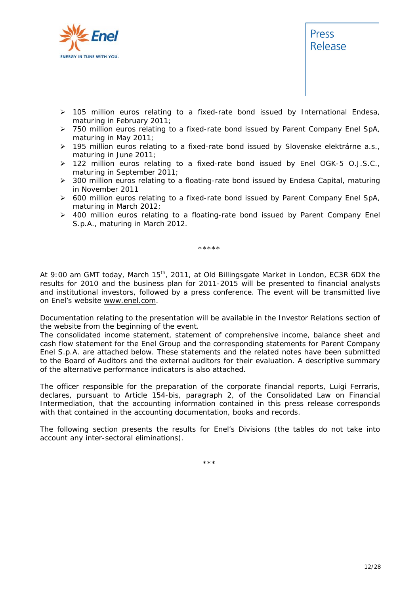

- $\geq$  105 million euros relating to a fixed-rate bond issued by International Endesa, maturing in February 2011;
- ¾ 750 million euros relating to a fixed-rate bond issued by Parent Company Enel SpA, maturing in May 2011;
- ¾ 195 million euros relating to a fixed-rate bond issued by Slovenske elektrárne a.s., maturing in June 2011;
- $\triangleright$  122 million euros relating to a fixed-rate bond issued by Enel OGK-5 O.J.S.C., maturing in September 2011;
- ¾ 300 million euros relating to a floating-rate bond issued by Endesa Capital, maturing in November 2011
- $\triangleright$  600 million euros relating to a fixed-rate bond issued by Parent Company Enel SpA, maturing in March 2012;
- ¾ 400 million euros relating to a floating-rate bond issued by Parent Company Enel S.p.A., maturing in March 2012.

\*\*\*\*\*

*At 9:00 am GMT today, March 15th, 2011, at Old Billingsgate Market in London, EC3R 6DX the results for 2010 and the business plan for 2011-2015 will be presented to financial analysts and institutional investors, followed by a press conference. The event will be transmitted live on Enel's website www.enel.com.* 

*Documentation relating to the presentation will be available in the* Investor Relations *section of the website from the beginning of the event.* 

*The consolidated income statement, statement of comprehensive income, balance sheet and cash flow statement for the Enel Group and the corresponding statements for Parent Company Enel S.p.A. are attached below. These statements and the related notes have been submitted to the Board of Auditors and the external auditors for their evaluation. A descriptive summary of the alternative performance indicators is also attached.* 

*The officer responsible for the preparation of the corporate financial reports, Luigi Ferraris, declares, pursuant to Article 154-bis, paragraph 2, of the Consolidated Law on Financial Intermediation, that the accounting information contained in this press release corresponds with that contained in the accounting documentation, books and records.* 

*The following section presents the results for Enel's Divisions (the tables do not take into account any inter-sectoral eliminations).* 

\*\*\*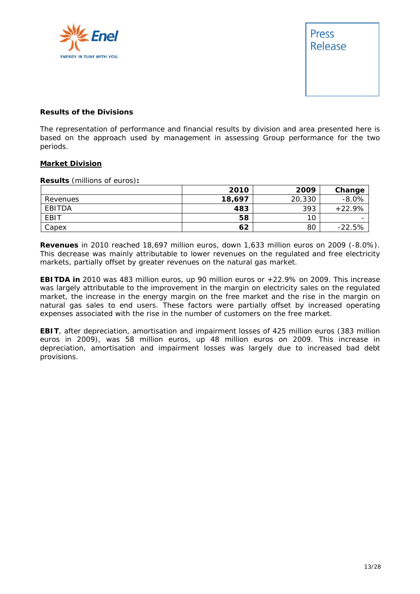



#### **Results of the Divisions**

The representation of performance and financial results by division and area presented here is based on the approach used by management in assessing Group performance for the two periods.

#### **Market Division**

**Results** (millions of euros)**:** 

|             | 2010   | 2009   | Change   |
|-------------|--------|--------|----------|
| Revenues    | 18,697 | 20,330 | $-8.0%$  |
| EBITDA      | 483    | 393    | $+22.9%$ |
| <b>EBIT</b> | 58     | 10     |          |
| Capex       | 62     | 80     | $-22.5%$ |

**Revenues** in 2010 reached 18,697 million euros, down 1,633 million euros on 2009 (-8.0%). This decrease was mainly attributable to lower revenues on the regulated and free electricity markets, partially offset by greater revenues on the natural gas market.

**EBITDA in** 2010 was 483 million euros, up 90 million euros or +22.9% on 2009. This increase was largely attributable to the improvement in the margin on electricity sales on the regulated market, the increase in the energy margin on the free market and the rise in the margin on natural gas sales to end users. These factors were partially offset by increased operating expenses associated with the rise in the number of customers on the free market.

**EBIT**, after depreciation, amortisation and impairment losses of 425 million euros (383 million euros in 2009), was 58 million euros, up 48 million euros on 2009. This increase in depreciation, amortisation and impairment losses was largely due to increased bad debt provisions.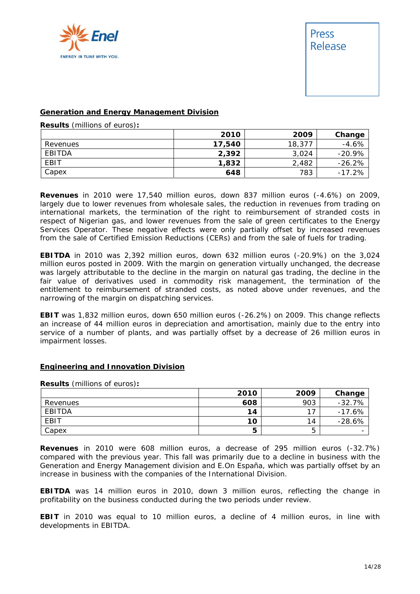

#### **Generation and Energy Management Division**

**Results** (millions of euros)**:** 

|          | 2010   | 2009   | Change   |
|----------|--------|--------|----------|
| Revenues | 17,540 | 18,377 | $-4.6%$  |
| EBITDA   | 2,392  | 3,024  | $-20.9%$ |
| EBIT     | 1,832  | 2,482  | $-26.2%$ |
| Capex    | 648    | 783    | $-17.2%$ |

**Revenues** in 2010 were 17,540 million euros, down 837 million euros (-4.6%) on 2009, largely due to lower revenues from wholesale sales, the reduction in revenues from trading on international markets, the termination of the right to reimbursement of stranded costs in respect of Nigerian gas, and lower revenues from the sale of green certificates to the Energy Services Operator. These negative effects were only partially offset by increased revenues from the sale of Certified Emission Reductions (CERs) and from the sale of fuels for trading.

**EBITDA** in 2010 was 2,392 million euros, down 632 million euros (-20.9%) on the 3,024 million euros posted in 2009. With the margin on generation virtually unchanged, the decrease was largely attributable to the decline in the margin on natural gas trading, the decline in the fair value of derivatives used in commodity risk management, the termination of the entitlement to reimbursement of stranded costs, as noted above under revenues, and the narrowing of the margin on dispatching services.

**EBIT** was 1,832 million euros, down 650 million euros (-26.2%) on 2009. This change reflects an increase of 44 million euros in depreciation and amortisation, mainly due to the entry into service of a number of plants, and was partially offset by a decrease of 26 million euros in impairment losses.

#### **Engineering and Innovation Division**

#### **Results** (millions of euros)**:**

|             | 2010 | 2009 | Change   |
|-------------|------|------|----------|
| Revenues    | 608  | 903  | $-32.7%$ |
| EBITDA      | 14   | 17   | $-17.6%$ |
| <b>EBIT</b> | 10   | 14   | $-28.6%$ |
| Capex       | э    | ხ    |          |

**Revenues** in 2010 were 608 million euros, a decrease of 295 million euros (-32.7%) compared with the previous year. This fall was primarily due to a decline in business with the Generation and Energy Management division and E.On España, which was partially offset by an increase in business with the companies of the International Division.

**EBITDA** was 14 million euros in 2010, down 3 million euros, reflecting the change in profitability on the business conducted during the two periods under review.

**EBIT** in 2010 was equal to 10 million euros, a decline of 4 million euros, in line with developments in EBITDA.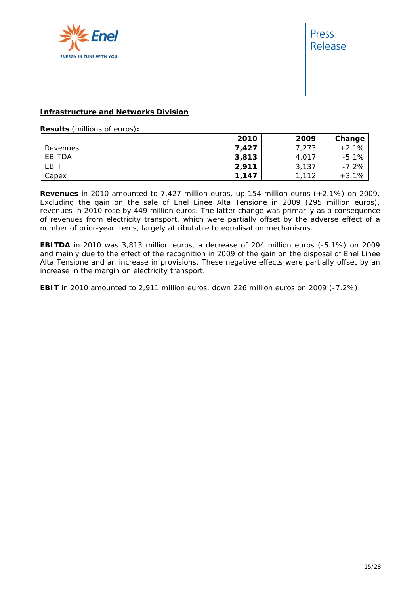



#### **Infrastructure and Networks Division**

**Results** (millions of euros)**:** 

|             | 2010  | 2009  | Change  |
|-------------|-------|-------|---------|
| Revenues    | 7,427 | 7,273 | $+2.1%$ |
| EBITDA      | 3,813 | 4,017 | $-5.1%$ |
| <b>EBIT</b> | 2,911 | 3,137 | $-7.2%$ |
| Capex       | 1,147 | 112   | $+3.1%$ |

**Revenues** in 2010 amounted to 7,427 million euros, up 154 million euros (+2.1%) on 2009. Excluding the gain on the sale of Enel Linee Alta Tensione in 2009 (295 million euros), revenues in 2010 rose by 449 million euros. The latter change was primarily as a consequence of revenues from electricity transport, which were partially offset by the adverse effect of a number of prior-year items, largely attributable to equalisation mechanisms.

**EBITDA** in 2010 was 3,813 million euros, a decrease of 204 million euros (-5.1%) on 2009 and mainly due to the effect of the recognition in 2009 of the gain on the disposal of Enel Linee Alta Tensione and an increase in provisions. These negative effects were partially offset by an increase in the margin on electricity transport.

**EBIT** in 2010 amounted to 2,911 million euros, down 226 million euros on 2009 (-7.2%).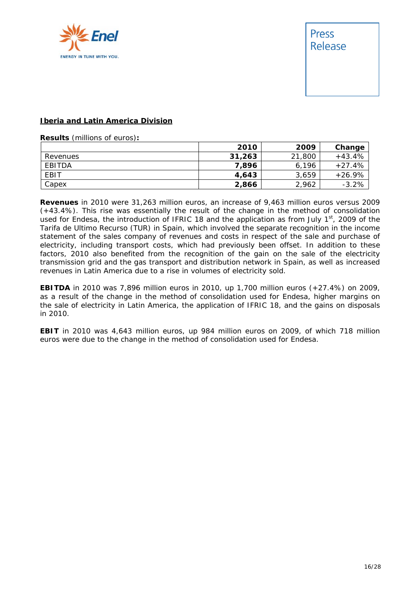

#### **Iberia and Latin America Division**

**Results** (millions of euros)**:** 

|          | 2010   | 2009   | Change   |
|----------|--------|--------|----------|
| Revenues | 31,263 | 21,800 | $+43.4%$ |
| EBITDA   | 7.896  | 6,196  | $+27.4%$ |
| EBIT     | 4,643  | 3,659  | $+26.9%$ |
| Capex    | 2,866  | 2.962  | $-3.2%$  |

**Revenues** in 2010 were 31,263 million euros, an increase of 9,463 million euros versus 2009 (+43.4%). This rise was essentially the result of the change in the method of consolidation used for Endesa, the introduction of IFRIC 18 and the application as from July  $1<sup>st</sup>$ , 2009 of the *Tarifa de Ultimo Recurso* (TUR) in Spain, which involved the separate recognition in the income statement of the sales company of revenues and costs in respect of the sale and purchase of electricity, including transport costs, which had previously been offset. In addition to these factors, 2010 also benefited from the recognition of the gain on the sale of the electricity transmission grid and the gas transport and distribution network in Spain, as well as increased revenues in Latin America due to a rise in volumes of electricity sold.

**EBITDA** in 2010 was 7,896 million euros in 2010, up 1,700 million euros (+27.4%) on 2009, as a result of the change in the method of consolidation used for Endesa, higher margins on the sale of electricity in Latin America, the application of IFRIC 18, and the gains on disposals in 2010.

**EBIT** in 2010 was 4,643 million euros, up 984 million euros on 2009, of which 718 million euros were due to the change in the method of consolidation used for Endesa.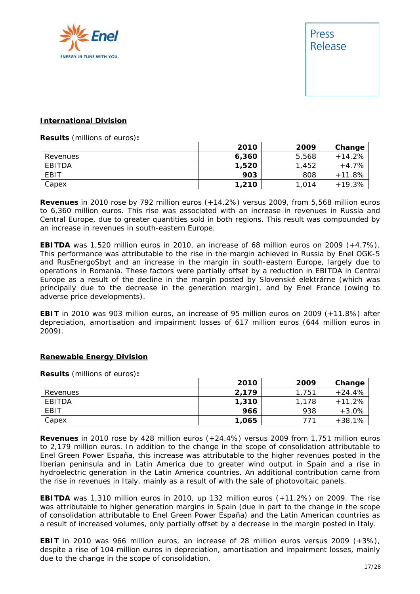

#### **International Division**

**Results** (millions of euros)**:** 

|             | 2010  | 2009  | Change   |
|-------------|-------|-------|----------|
| Revenues    | 6,360 | 5,568 | $+14.2%$ |
| EBITDA      | 1,520 | .452  | $+4.7%$  |
| <b>EBIT</b> | 903   | 808   | $+11.8%$ |
| Capex       | 1,210 | 1,014 | $+19.3%$ |

**Revenues** in 2010 rose by 792 million euros (+14.2%) versus 2009, from 5,568 million euros to 6,360 million euros. This rise was associated with an increase in revenues in Russia and Central Europe, due to greater quantities sold in both regions. This result was compounded by an increase in revenues in south-eastern Europe.

**EBITDA** was 1,520 million euros in 2010, an increase of 68 million euros on 2009 (+4.7%). This performance was attributable to the rise in the margin achieved in Russia by Enel OGK-5 and RusEnergoSbyt and an increase in the margin in south-eastern Europe, largely due to operations in Romania. These factors were partially offset by a reduction in EBITDA in Central Europe as a result of the decline in the margin posted by Slovenské elektrárne (which was principally due to the decrease in the generation margin), and by Enel France (owing to adverse price developments).

**EBIT** in 2010 was 903 million euros, an increase of 95 million euros on 2009 (+11.8%) after depreciation, amortisation and impairment losses of 617 million euros (644 million euros in 2009).

#### **Renewable Energy Division**

**Results** (millions of euros)**:** 

|          | 2010  | 2009  | Change   |
|----------|-------|-------|----------|
| Revenues | 2,179 | 1.751 | $+24.4%$ |
| EBITDA   | 1,310 | 1,178 | $+11.2%$ |
| EBIT     | 966   | 938   | $+3.0%$  |
| Capex    | 1,065 | 771   | $+38.1%$ |

**Revenues** in 2010 rose by 428 million euros (+24.4%) versus 2009 from 1,751 million euros to 2,179 million euros. In addition to the change in the scope of consolidation attributable to Enel Green Power España, this increase was attributable to the higher revenues posted in the Iberian peninsula and in Latin America due to greater wind output in Spain and a rise in hydroelectric generation in the Latin America countries. An additional contribution came from the rise in revenues in Italy, mainly as a result of with the sale of photovoltaic panels.

**EBITDA** was 1,310 million euros in 2010, up 132 million euros (+11.2%) on 2009. The rise was attributable to higher generation margins in Spain (due in part to the change in the scope of consolidation attributable to Enel Green Power España) and the Latin American countries as a result of increased volumes, only partially offset by a decrease in the margin posted in Italy.

**EBIT** in 2010 was 966 million euros, an increase of 28 million euros versus 2009 (+3%), despite a rise of 104 million euros in depreciation, amortisation and impairment losses, mainly due to the change in the scope of consolidation.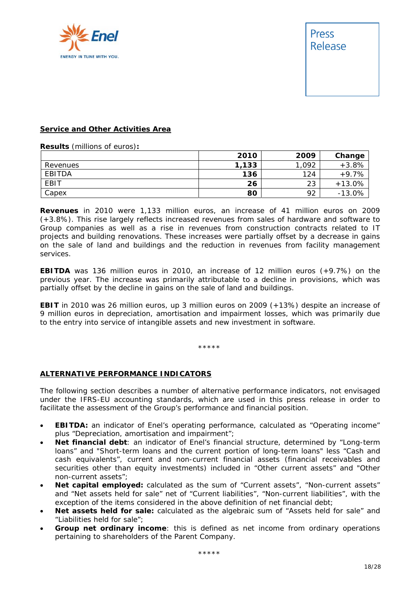

#### **Service and Other Activities Area**

**Results** (millions of euros)**:** 

|          | 2010  | 2009 | Change   |
|----------|-------|------|----------|
| Revenues | 1,133 | ,092 | $+3.8%$  |
| EBITDA   | 136   | 124  | $+9.7%$  |
| EBIT     | 26    | 23   | $+13.0%$ |
| Capex    | 80    | 92   | $-13.0%$ |

**Revenues** in 2010 were 1,133 million euros, an increase of 41 million euros on 2009 (+3.8%). This rise largely reflects increased revenues from sales of hardware and software to Group companies as well as a rise in revenues from construction contracts related to IT projects and building renovations. These increases were partially offset by a decrease in gains on the sale of land and buildings and the reduction in revenues from facility management services.

**EBITDA** was 136 million euros in 2010, an increase of 12 million euros (+9.7%) on the previous year. The increase was primarily attributable to a decline in provisions, which was partially offset by the decline in gains on the sale of land and buildings.

**EBIT** in 2010 was 26 million euros, up 3 million euros on 2009 (+13%) despite an increase of 9 million euros in depreciation, amortisation and impairment losses, which was primarily due to the entry into service of intangible assets and new investment in software.

\*\*\*\*\*

#### **ALTERNATIVE PERFORMANCE INDICATORS**

The following section describes a number of alternative performance indicators, not envisaged under the IFRS-EU accounting standards, which are used in this press release in order to facilitate the assessment of the Group's performance and financial position.

- **EBITDA:** an indicator of Enel's operating performance, calculated as "Operating income" plus "Depreciation, amortisation and impairment";
- **Net financial debt**: an indicator of Enel's financial structure, determined by "Long-term loans" and "Short-term loans and the current portion of long-term loans" less "Cash and cash equivalents", current and non-current financial assets (financial receivables and securities other than equity investments) included in "Other current assets" and "Other non-current assets";
- **Net capital employed:** calculated as the sum of "Current assets", "Non-current assets" and "Net assets held for sale" net of "Current liabilities", "Non-current liabilities", with the exception of the items considered in the above definition of net financial debt;
- **Net assets held for sale:** calculated as the algebraic sum of "Assets held for sale" and "Liabilities held for sale";
- **Group net ordinary income**: this is defined as net income from ordinary operations pertaining to shareholders of the Parent Company.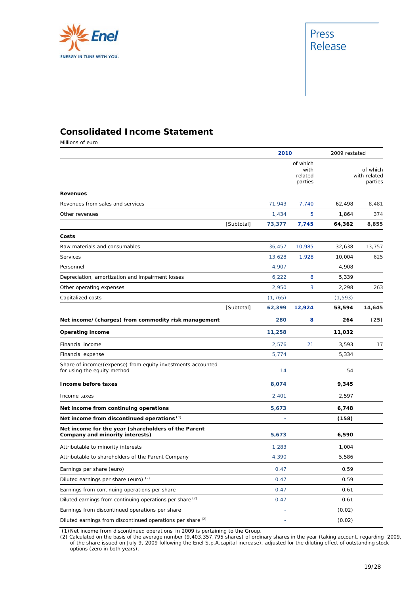

### **Consolidated Income Statement**

Millions of euro

|                                                                                            |            | 2010     |                                        | 2009 restated |                                     |
|--------------------------------------------------------------------------------------------|------------|----------|----------------------------------------|---------------|-------------------------------------|
|                                                                                            |            |          | of which<br>with<br>related<br>parties |               | of which<br>with related<br>parties |
| <b>Revenues</b>                                                                            |            |          |                                        |               |                                     |
| Revenues from sales and services                                                           |            | 71,943   | 7,740                                  | 62,498        | 8,481                               |
| Other revenues                                                                             |            | 1,434    | 5                                      | 1,864         | 374                                 |
|                                                                                            | [Subtotal] | 73,377   | 7,745                                  | 64,362        | 8,855                               |
| Costs                                                                                      |            |          |                                        |               |                                     |
| Raw materials and consumables                                                              |            | 36,457   | 10,985                                 | 32,638        | 13.757                              |
| Services                                                                                   |            | 13,628   | 1,928                                  | 10,004        | 625                                 |
| Personnel                                                                                  |            | 4,907    |                                        | 4,908         |                                     |
| Depreciation, amortization and impairment losses                                           |            | 6,222    | 8                                      | 5,339         |                                     |
| Other operating expenses                                                                   |            | 2,950    | 3                                      | 2,298         | 263                                 |
| Capitalized costs                                                                          |            | (1, 765) |                                        | (1, 593)      |                                     |
|                                                                                            | [Subtotal] | 62,399   | 12,924                                 | 53,594        | 14,645                              |
| Net income/(charges) from commodity risk management                                        |            | 280      | 8                                      | 264           | (25)                                |
| <b>Operating income</b>                                                                    |            | 11,258   |                                        | 11,032        |                                     |
| Financial income                                                                           |            | 2,576    | 21                                     | 3.593         | 17                                  |
| Financial expense                                                                          |            | 5,774    |                                        | 5,334         |                                     |
| Share of income/(expense) from equity investments accounted<br>for using the equity method |            | 14       |                                        | 54            |                                     |
| Income before taxes                                                                        |            | 8,074    |                                        | 9,345         |                                     |
| Income taxes                                                                               |            | 2,401    |                                        | 2,597         |                                     |
| Net income from continuing operations                                                      |            | 5,673    |                                        | 6,748         |                                     |
| Net income from discontinued operations <sup>(1)</sup>                                     |            |          |                                        | (158)         |                                     |
| Net income for the year (shareholders of the Parent<br>Company and minority interests)     |            | 5,673    |                                        | 6,590         |                                     |
| Attributable to minority interests                                                         |            | 1,283    |                                        | 1,004         |                                     |
| Attributable to shareholders of the Parent Company                                         |            | 4,390    |                                        | 5,586         |                                     |
| Earnings per share (euro)                                                                  |            | 0.47     |                                        | 0.59          |                                     |
| Diluted earnings per share (euro) <sup>(2)</sup>                                           |            | 0.47     |                                        | 0.59          |                                     |
| Earnings from continuing operations per share                                              |            | 0.47     |                                        | 0.61          |                                     |
| Diluted earnings from continuing operations per share <sup>(2)</sup>                       |            | 0.47     |                                        | 0.61          |                                     |
| Earnings from discontinued operations per share                                            |            | L,       |                                        | (0.02)        |                                     |
| Diluted earnings from discontinued operations per share <sup>(2)</sup>                     |            | ÷        |                                        | (0.02)        |                                     |

(1) Net income from discontinued operations in 2009 is pertaining to the Group.

(2) Calculated on the basis of the average number (9,403,357,795 shares) of ordinary shares in the year (taking account, regarding 2009, of the share issued on July 9, 2009 following the Enel S.p.A.capital increase), adjusted for the diluting effect of outstanding stock options (zero in both years).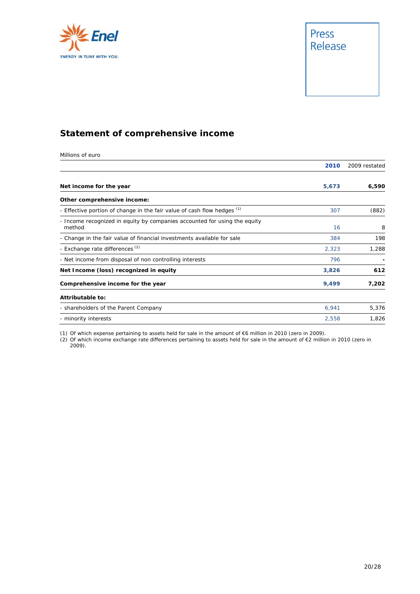



### **Statement of comprehensive income**

Millions of euro

|                                                                                     | 2010  | 2009 restated |
|-------------------------------------------------------------------------------------|-------|---------------|
|                                                                                     |       |               |
| Net income for the year                                                             | 5,673 | 6,590         |
| Other comprehensive income:                                                         |       |               |
| - Effective portion of change in the fair value of cash flow hedges (1)             | 307   | (882)         |
| - Income recognized in equity by companies accounted for using the equity<br>method | 16    | 8             |
| - Change in the fair value of financial investments available for sale              | 384   | 198           |
| - Exchange rate differences <sup>(2)</sup>                                          | 2,323 | 1,288         |
| - Net income from disposal of non controlling interests                             | 796   |               |
| Net Income (loss) recognized in equity                                              | 3,826 | 612           |
| Comprehensive income for the year                                                   | 9,499 | 7,202         |
| Attributable to:                                                                    |       |               |
| - shareholders of the Parent Company                                                | 6,941 | 5,376         |
| - minority interests                                                                | 2,558 | 1,826         |

(1) Of which expense pertaining to assets held for sale in the amount of €6 million in 2010 (zero in 2009).

(2) Of which income exchange rate differences pertaining to assets held for sale in the amount of €2 million in 2010 (zero in 2009).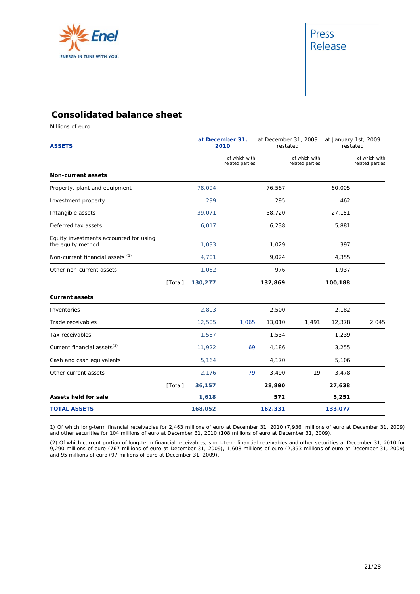

### **Consolidated balance sheet**

Millions of euro

| <b>ASSETS</b>                                               |         |         | at December 31,<br>2010          |         | at December 31, 2009<br>restated |         | at January 1st, 2009<br>restated |  |
|-------------------------------------------------------------|---------|---------|----------------------------------|---------|----------------------------------|---------|----------------------------------|--|
|                                                             |         |         | of which with<br>related parties |         | of which with<br>related parties |         | of which with<br>related parties |  |
| <b>Non-current assets</b>                                   |         |         |                                  |         |                                  |         |                                  |  |
| Property, plant and equipment                               |         | 78,094  |                                  | 76,587  |                                  | 60,005  |                                  |  |
| Investment property                                         |         | 299     |                                  | 295     |                                  | 462     |                                  |  |
| Intangible assets                                           |         | 39,071  |                                  | 38,720  |                                  | 27,151  |                                  |  |
| Deferred tax assets                                         |         | 6,017   |                                  | 6,238   |                                  | 5,881   |                                  |  |
| Equity investments accounted for using<br>the equity method |         | 1,033   |                                  | 1,029   |                                  | 397     |                                  |  |
| Non-current financial assets <sup>(1)</sup>                 |         | 4,701   |                                  | 9,024   |                                  | 4,355   |                                  |  |
| Other non-current assets                                    |         | 1,062   |                                  | 976     |                                  | 1,937   |                                  |  |
|                                                             | [Total] | 130,277 |                                  | 132,869 |                                  | 100,188 |                                  |  |
| <b>Current assets</b>                                       |         |         |                                  |         |                                  |         |                                  |  |
| Inventories                                                 |         | 2,803   |                                  | 2,500   |                                  | 2,182   |                                  |  |
| Trade receivables                                           |         | 12,505  | 1,065                            | 13,010  | 1,491                            | 12,378  | 2,045                            |  |
| Tax receivables                                             |         | 1,587   |                                  | 1,534   |                                  | 1,239   |                                  |  |
| Current financial assets <sup>(2)</sup>                     |         | 11,922  | 69                               | 4,186   |                                  | 3,255   |                                  |  |
| Cash and cash equivalents                                   |         | 5,164   |                                  | 4,170   |                                  | 5,106   |                                  |  |
| Other current assets                                        |         | 2,176   | 79                               | 3,490   | 19                               | 3,478   |                                  |  |
|                                                             | [Total] | 36,157  |                                  | 28,890  |                                  | 27,638  |                                  |  |
| <b>Assets held for sale</b>                                 |         | 1,618   |                                  | 572     |                                  | 5,251   |                                  |  |
| <b>TOTAL ASSETS</b>                                         |         | 168,052 |                                  | 162,331 |                                  | 133,077 |                                  |  |

1) Of which long-term financial receivables for 2,463 millions of euro at December 31, 2010 (7,936 millions of euro at December 31, 2009) and other securities for 104 millions of euro at December 31, 2010 (108 millions of euro at December 31, 2009).

(2) Of which current portion of long-term financial receivables, short-term financial receivables and other securities at December 31, 2010 for 9,290 millions of euro (767 millions of euro at December 31, 2009), 1,608 millions of euro (2,353 millions of euro at December 31, 2009) and 95 millions of euro (97 millions of euro at December 31, 2009).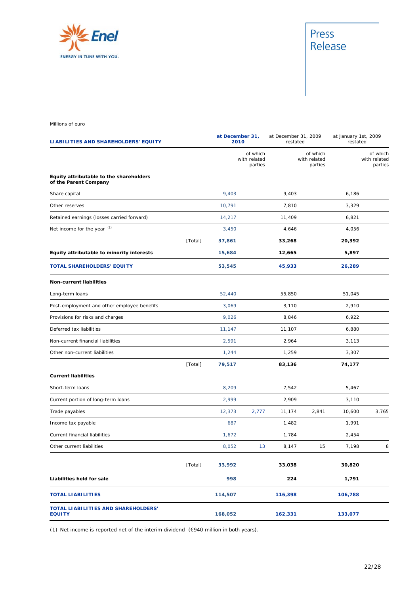

# Press<br>Release

Millions of euro

| LIABILITIES AND SHAREHOLDERS' EQUITY                             |         |         | at December 31,<br>2010             |         | at December 31, 2009<br>restated    |         | at January 1st, 2009<br>restated    |  |
|------------------------------------------------------------------|---------|---------|-------------------------------------|---------|-------------------------------------|---------|-------------------------------------|--|
|                                                                  |         |         | of which<br>with related<br>parties |         | of which<br>with related<br>parties |         | of which<br>with related<br>parties |  |
| Equity attributable to the shareholders<br>of the Parent Company |         |         |                                     |         |                                     |         |                                     |  |
| Share capital                                                    |         | 9,403   |                                     | 9,403   |                                     | 6,186   |                                     |  |
| Other reserves                                                   |         | 10,791  |                                     | 7,810   |                                     | 3,329   |                                     |  |
| Retained earnings (losses carried forward)                       |         | 14,217  |                                     | 11,409  |                                     | 6,821   |                                     |  |
| Net income for the year (1)                                      |         | 3,450   |                                     | 4,646   |                                     | 4,056   |                                     |  |
|                                                                  | [Total] | 37,861  |                                     | 33,268  |                                     | 20,392  |                                     |  |
| Equity attributable to minority interests                        |         | 15,684  |                                     | 12,665  |                                     | 5,897   |                                     |  |
| <b>TOTAL SHAREHOLDERS' EQUITY</b>                                |         | 53,545  |                                     | 45,933  |                                     | 26,289  |                                     |  |
| <b>Non-current liabilities</b>                                   |         |         |                                     |         |                                     |         |                                     |  |
| Long-term loans                                                  |         | 52,440  |                                     | 55,850  |                                     | 51,045  |                                     |  |
| Post-employment and other employee benefits                      |         | 3,069   |                                     | 3,110   |                                     | 2,910   |                                     |  |
| Provisions for risks and charges                                 |         | 9,026   |                                     | 8,846   |                                     | 6,922   |                                     |  |
| Deferred tax liabilities                                         |         | 11,147  |                                     | 11,107  |                                     | 6,880   |                                     |  |
| Non-current financial liabilities                                |         | 2,591   |                                     | 2,964   |                                     | 3,113   |                                     |  |
| Other non-current liabilities                                    |         | 1,244   |                                     | 1,259   |                                     | 3,307   |                                     |  |
|                                                                  | [Total] | 79,517  |                                     | 83,136  |                                     | 74,177  |                                     |  |
| <b>Current liabilities</b>                                       |         |         |                                     |         |                                     |         |                                     |  |
| Short-term loans                                                 |         | 8,209   |                                     | 7,542   |                                     | 5,467   |                                     |  |
| Current portion of long-term loans                               |         | 2,999   |                                     | 2,909   |                                     | 3,110   |                                     |  |
| Trade payables                                                   |         | 12,373  | 2,777                               | 11,174  | 2,841                               | 10,600  | 3,765                               |  |
| Income tax payable                                               |         | 687     |                                     | 1,482   |                                     | 1,991   |                                     |  |
| Current financial liabilities                                    |         | 1,672   |                                     | 1,784   |                                     | 2,454   |                                     |  |
| Other current liabilities                                        |         | 8,052   | 13                                  | 8,147   | 15                                  | 7,198   | 8                                   |  |
|                                                                  | [Total] | 33,992  |                                     | 33,038  |                                     | 30,820  |                                     |  |
| Liabilities held for sale                                        |         | 998     |                                     | 224     |                                     | 1,791   |                                     |  |
| <b>TOTAL LIABILITIES</b>                                         |         | 114,507 |                                     | 116,398 |                                     | 106,788 |                                     |  |
| TOTAL LIABILITIES AND SHAREHOLDERS'<br><b>EQUITY</b>             |         | 168,052 |                                     | 162,331 |                                     | 133,077 |                                     |  |

(1) Net income is reported net of the interim dividend (€940 million in both years).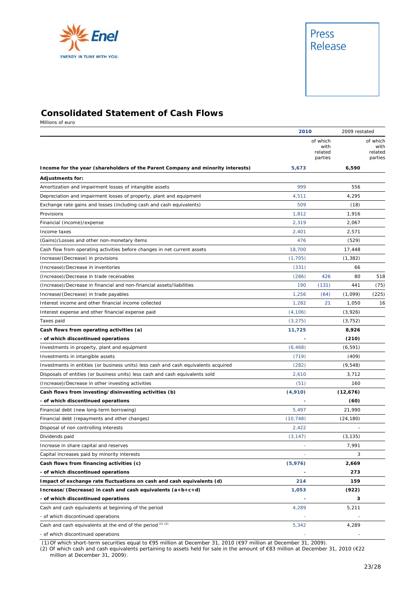



### **Consolidated Statement of Cash Flows**

Millions of euro

|                                                                                     | 2010      |                                        |           | 2009 restated                          |  |
|-------------------------------------------------------------------------------------|-----------|----------------------------------------|-----------|----------------------------------------|--|
|                                                                                     |           | of which<br>with<br>related<br>parties |           | of which<br>with<br>related<br>parties |  |
| Income for the year (shareholders of the Parent Company and minority interests)     | 5,673     |                                        | 6,590     |                                        |  |
| <b>Adjustments for:</b>                                                             |           |                                        |           |                                        |  |
| Amortization and impairment losses of intangible assets                             | 999       |                                        | 556       |                                        |  |
| Depreciation and impairment losses of property, plant and equipment                 | 4,511     |                                        | 4,295     |                                        |  |
| Exchange rate gains and losses (including cash and cash equivalents)                | 509       |                                        | (18)      |                                        |  |
| Provisions                                                                          | 1,812     |                                        | 1,916     |                                        |  |
| Financial (income)/expense                                                          | 2.319     |                                        | 2,067     |                                        |  |
| Income taxes                                                                        | 2,401     |                                        | 2,571     |                                        |  |
| (Gains)/Losses and other non-monetary items                                         | 476       |                                        | (529)     |                                        |  |
| Cash flow from operating activities before changes in net current assets            | 18,700    |                                        | 17,448    |                                        |  |
| Increase/(Decrease) in provisions                                                   | (1,705)   |                                        | (1, 382)  |                                        |  |
| (Increase)/Decrease in inventories                                                  | (331)     |                                        | 66        |                                        |  |
| (Increase)/Decrease in trade receivables                                            | (286)     | 426                                    | 80        | 518                                    |  |
| (Increase)/Decrease in financial and non-financial assets/liabilities               | 190       | (131)                                  | 441       | (75)                                   |  |
| Increase/(Decrease) in trade payables                                               | 1,256     | (64)                                   | (1,099)   | (225)                                  |  |
| Interest income and other financial income collected                                | 1,282     | 21                                     | 1,050     | 16                                     |  |
| Interest expense and other financial expense paid                                   | (4, 106)  |                                        | (3,926)   |                                        |  |
| Taxes paid                                                                          | (3, 275)  |                                        | (3, 752)  |                                        |  |
| Cash flows from operating activities (a)                                            | 11,725    |                                        | 8,926     |                                        |  |
| - of which discontinued operations                                                  |           |                                        | (210)     |                                        |  |
| Investments in property, plant and equipment                                        | (6, 468)  |                                        | (6, 591)  |                                        |  |
| Investments in intangible assets                                                    | (719)     |                                        | (409)     |                                        |  |
| Investments in entities (or business units) less cash and cash equivalents acquired | (282)     |                                        | (9, 548)  |                                        |  |
| Disposals of entities (or business units) less cash and cash equivalents sold       | 2,610     |                                        | 3,712     |                                        |  |
| (Increase)/Decrease in other investing activities                                   | (51)      |                                        | 160       |                                        |  |
| Cash flows from investing/disinvesting activities (b)                               | (4,910)   |                                        | (12,676)  |                                        |  |
| - of which discontinued operations                                                  |           |                                        | (60)      |                                        |  |
| Financial debt (new long-term borrowing)                                            | 5,497     |                                        | 21,990    |                                        |  |
| Financial debt (repayments and other changes)                                       | (10, 748) |                                        | (24, 180) |                                        |  |
| Disposal of non controlling interests                                               | 2,422     |                                        |           |                                        |  |
| Dividends paid                                                                      | (3, 147)  |                                        | (3, 135)  |                                        |  |
| Increase in share capital and reserves                                              |           |                                        | 7,991     |                                        |  |
| Capital increases paid by minority interests                                        |           |                                        | 3         |                                        |  |
| Cash flows from financing activities (c)                                            | (5,976)   |                                        | 2,669     |                                        |  |
| - of which discontinued operations                                                  |           |                                        | 273       |                                        |  |
| Impact of exchange rate fluctuations on cash and cash equivalents (d)               | 214       |                                        | 159       |                                        |  |
| Increase/(Decrease) in cash and cash equivalents $(a+b+c+d)$                        | 1,053     |                                        | (922)     |                                        |  |
| - of which discontinued operations                                                  |           |                                        | з         |                                        |  |
| Cash and cash equivalents at beginning of the period                                | 4,289     |                                        | 5,211     |                                        |  |
| - of which discontinued operations                                                  |           |                                        |           |                                        |  |
| Cash and cash equivalents at the end of the period (1) (2)                          | 5,342     |                                        | 4,289     |                                        |  |
| - of which discontinued operations                                                  |           |                                        |           |                                        |  |

(1) Of which short-term securities equal to €95 million at December 31, 2010 (€97 million at December 31, 2009).

(2) Of which cash and cash equivalents pertaining to assets held for sale in the amount of €83 million at December 31, 2010 (€22 million at December 31, 2009).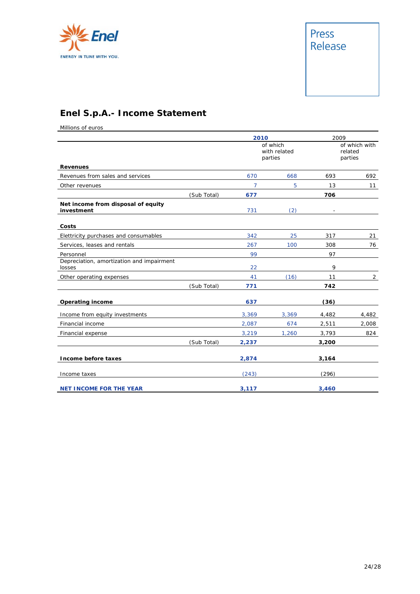



# **Enel S.p.A.- Income Statement**

Millions of euros

|                                                     |             | 2010  |                                     | 2009  |                                     |
|-----------------------------------------------------|-------------|-------|-------------------------------------|-------|-------------------------------------|
|                                                     |             |       | of which<br>with related<br>parties |       | of which with<br>related<br>parties |
| <b>Revenues</b>                                     |             |       |                                     |       |                                     |
| Revenues from sales and services                    |             | 670   | 668                                 | 693   | 692                                 |
| Other revenues                                      |             | 7     | 5                                   | 13    | 11                                  |
|                                                     | (Sub Total) | 677   |                                     | 706   |                                     |
| Net income from disposal of equity<br>investment    |             | 731   | (2)                                 |       |                                     |
| Costs                                               |             |       |                                     |       |                                     |
| Elettricity purchases and consumables               |             | 342   | 25                                  | 317   | 21                                  |
| Services, leases and rentals                        |             | 267   | 100                                 | 308   | 76                                  |
| Personnel                                           |             | 99    |                                     | 97    |                                     |
| Depreciation, amortization and impairment<br>losses |             | 22    |                                     | 9     |                                     |
| Other operating expenses                            |             | 41    | (16)                                | 11    | $\overline{2}$                      |
|                                                     | (Sub Total) | 771   |                                     | 742   |                                     |
| <b>Operating income</b>                             |             | 637   |                                     | (36)  |                                     |
| Income from equity investments                      |             | 3,369 | 3,369                               | 4,482 | 4,482                               |
| Financial income                                    |             | 2,087 | 674                                 | 2,511 | 2,008                               |
| Financial expense                                   |             | 3,219 | 1,260                               | 3,793 | 824                                 |
|                                                     | (Sub Total) | 2,237 |                                     | 3,200 |                                     |
| Income before taxes                                 |             | 2,874 |                                     | 3,164 |                                     |
| Income taxes                                        |             | (243) |                                     | (296) |                                     |
| <b>NET INCOME FOR THE YEAR</b>                      |             | 3,117 |                                     | 3,460 |                                     |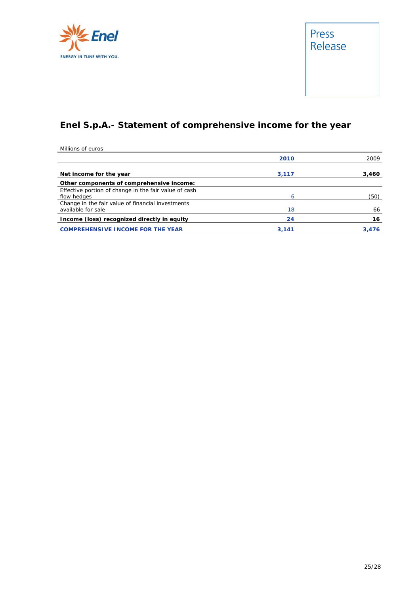



# **Enel S.p.A.- Statement of comprehensive income for the year**

Millions of euros

|                                                       | 2010  | 2009  |
|-------------------------------------------------------|-------|-------|
| Net income for the year                               | 3,117 | 3,460 |
| Other components of comprehensive income:             |       |       |
| Effective portion of change in the fair value of cash |       |       |
| flow hedges                                           | 6     | (50)  |
| Change in the fair value of financial investments     |       |       |
| available for sale                                    | 18    | 66    |
| Income (loss) recognized directly in equity           | 24    | 16    |
| <b>COMPREHENSIVE INCOME FOR THE YEAR</b>              | 3.141 | 3.476 |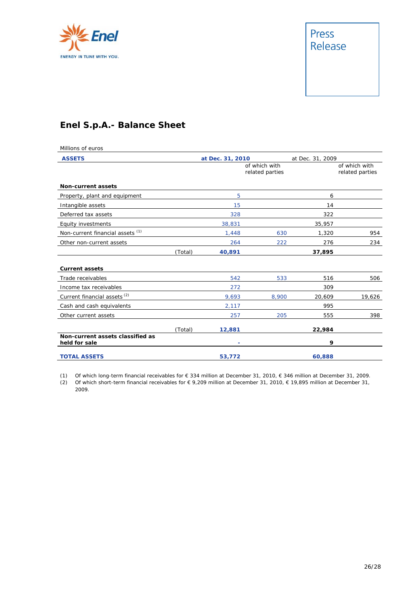

## **Enel S.p.A.- Balance Sheet**

| Millions of euros                                 |         |                                  |       |                  |                                  |
|---------------------------------------------------|---------|----------------------------------|-------|------------------|----------------------------------|
| <b>ASSETS</b>                                     |         | at Dec. 31, 2010                 |       | at Dec. 31, 2009 |                                  |
|                                                   |         | of which with<br>related parties |       |                  | of which with<br>related parties |
| <b>Non-current assets</b>                         |         |                                  |       |                  |                                  |
| Property, plant and equipment                     |         | 5                                |       | 6                |                                  |
| Intangible assets                                 |         | 15                               |       | 14               |                                  |
| Deferred tax assets                               |         | 328                              |       | 322              |                                  |
| Equity investments                                |         | 38,831                           |       | 35,957           |                                  |
| Non-current financial assets <sup>(1)</sup>       |         | 1,448                            | 630   | 1,320            | 954                              |
| Other non-current assets                          |         | 264                              | 222   | 276              | 234                              |
|                                                   | (Total) | 40,891                           |       | 37,895           |                                  |
| <b>Current assets</b>                             |         |                                  |       |                  |                                  |
| Trade receivables                                 |         | 542                              | 533   | 516              | 506                              |
| Income tax receivables                            |         | 272                              |       | 309              |                                  |
| Current financial assets <sup>(2)</sup>           |         | 9,693                            | 8,900 | 20,609           | 19,626                           |
| Cash and cash equivalents                         |         | 2,117                            |       | 995              |                                  |
| Other current assets                              |         | 257                              | 205   | 555              | 398                              |
|                                                   | (Total) | 12,881                           |       | 22,984           |                                  |
| Non-current assets classified as<br>held for sale |         | ٠                                |       | 9                |                                  |
| <b>TOTAL ASSETS</b>                               |         | 53,772                           |       | 60,888           |                                  |

(1) Of which long-term financial receivables for € 334 million at December 31, 2010, € 346 million at December 31, 2009.

(2) Of which short-term financial receivables for € 9,209 million at December 31, 2010, € 19,895 million at December 31, 2009.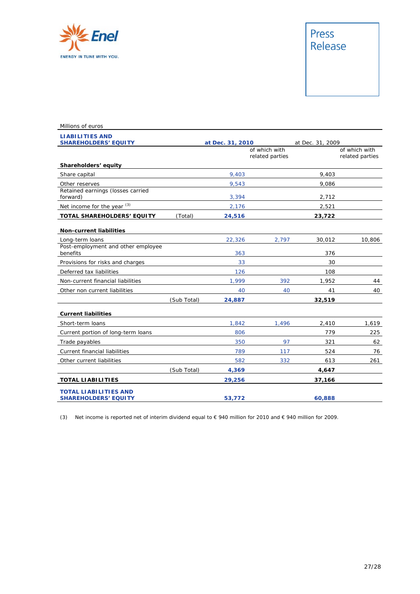

| Millions of euros                                           |             |                  |                                  |                  |                                  |
|-------------------------------------------------------------|-------------|------------------|----------------------------------|------------------|----------------------------------|
| <b>LIABILITIES AND</b><br><b>SHAREHOLDERS' EQUITY</b>       |             | at Dec. 31, 2010 |                                  | at Dec. 31, 2009 |                                  |
|                                                             |             |                  | of which with<br>related parties |                  | of which with<br>related parties |
| Shareholders' equity                                        |             |                  |                                  |                  |                                  |
| Share capital                                               |             | 9,403            |                                  | 9,403            |                                  |
| Other reserves                                              |             | 9,543            |                                  | 9,086            |                                  |
| Retained earnings (losses carried<br>forward)               |             | 3,394            |                                  | 2,712            |                                  |
| Net income for the year (3)                                 |             | 2,176            |                                  | 2,521            |                                  |
| TOTAL SHAREHOLDERS' EQUITY                                  | (Total)     | 24,516           |                                  | 23,722           |                                  |
| <b>Non-current liabilities</b>                              |             |                  |                                  |                  |                                  |
| Long-term loans                                             |             | 22,326           | 2,797                            | 30,012           | 10,806                           |
| Post-employment and other employee<br>benefits              |             | 363              |                                  | 376              |                                  |
| Provisions for risks and charges                            |             | 33               |                                  | 30               |                                  |
| Deferred tax liabilities                                    |             | 126              |                                  | 108              |                                  |
| Non-current financial liabilities                           |             | 1.999            | 392                              | 1,952            | 44                               |
| Other non current liabilities                               |             | 40               | 40                               | 41               | 40                               |
|                                                             | (Sub Total) | 24,887           |                                  | 32,519           |                                  |
| <b>Current liabilities</b>                                  |             |                  |                                  |                  |                                  |
| Short-term loans                                            |             | 1,842            | 1,496                            | 2,410            | 1,619                            |
| Current portion of long-term loans                          |             | 806              |                                  | 779              | 225                              |
| Trade payables                                              |             | 350              | 97                               | 321              | 62                               |
| Current financial liabilities                               |             | 789              | 117                              | 524              | 76                               |
| Other current liabilities                                   |             | 582              | 332                              | 613              | 261                              |
|                                                             | (Sub Total) | 4,369            |                                  | 4,647            |                                  |
| <b>TOTAL LIABILITIES</b>                                    |             | 29,256           |                                  | 37,166           |                                  |
| <b>TOTAL LIABILITIES AND</b><br><b>SHAREHOLDERS' EQUITY</b> |             | 53,772           |                                  | 60,888           |                                  |

(3) Net income is reported net of interim dividend equal to € 940 million for 2010 and € 940 million for 2009.